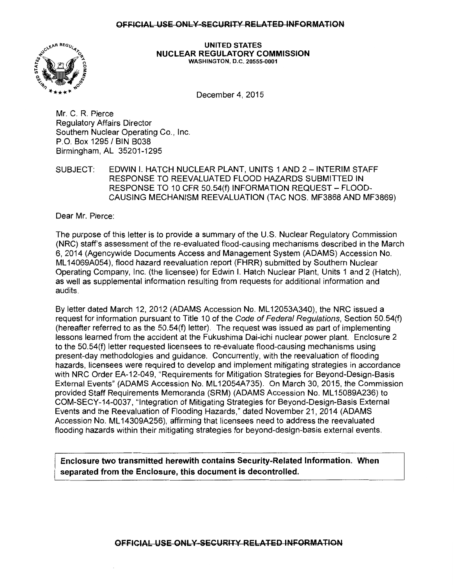

UNITED STATES NUCLEAR REGULATORY COMMISSION WASHINGTON, D.C. 20555-0001

December 4, 2015

Mr. C. R. Pierce Regulatory Affairs Director Southern Nuclear Operating Co., Inc. P.O. Box 1295 /BIN 8038 Birmingham, AL 35201-1295

SUBJECT: EDWIN I. HATCH NUCLEAR PLANT, UNITS 1 AND 2 - INTERIM STAFF RESPONSE TO REEVALUATED FLOOD HAZARDS SUBMITTED IN RESPONSE TO 10 CFR 50.54(f) INFORMATION REQUEST- FLOOD-CAUSING MECHANISM REEVALUATION (TAC NOS. MF3868 AND MF3869)

Dear Mr. Pierce:

The purpose of this letter is to provide a summary of the U.S. Nuclear Regulatory Commission (NRC) staff's assessment of the re-evaluated flood-causing mechanisms described in the March 6, 2014 (Agencywide Documents Access and Management System (ADAMS) Accession No. ML 14069A054), flood hazard reevaluation report (FHRR) submitted by Southern Nuclear Operating Company, Inc. (the licensee) for Edwin I. Hatch Nuclear Plant, Units 1 and 2 (Hatch), as well as supplemental information resulting from requests for additional information and audits.

By letter dated March 12, 2012 (ADAMS Accession No. ML 12053A340), the NRC issued a request for information pursuant to Title 10 of the Code of Federal Regulations, Section 50.54(f) (hereafter referred to as the 50.54(f) letter). The request was issued as part of implementing lessons learned from the accident at the Fukushima Dai-ichi nuclear power plant. Enclosure 2 to the 50.54(f) letter requested licensees to re-evaluate flood-causing mechanisms using present-day methodologies and guidance. Concurrently, with the reevaluation of flooding hazards, licensees were required to develop and implement mitigating strategies in accordance with NRC Order EA-12-049, "Requirements for Mitigation Strategies for Beyond-Design-Basis External Events" (ADAMS Accession No. ML 12054A735). On March 30, 2015, the Commission provided Staff Requirements Memoranda (SRM) (ADAMS Accession No. ML 15089A236) to COM-SECY-14-0037, "Integration of Mitigating Strategies for Beyond-Design-Basis External Events and the Reevaluation of Flooding Hazards," dated November 21, 2014 (ADAMS Accession No. ML 14309A256), affirming that licensees need to address the reevaluated flooding hazards within their mitigating strategies for beyond-design-basis external events.

Enclosure two transmitted herewith contains Security-Related Information. When separated from the Enclosure, this document is decontrolled.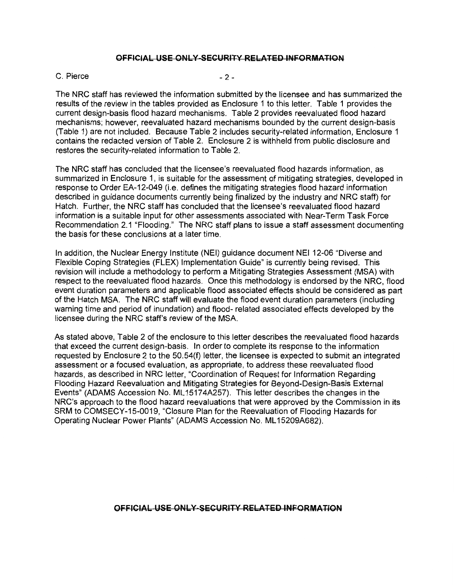#### $C.$  Pierce  $-2-$

The NRC staff has reviewed the information submitted by the licensee and has summarized the results of the review in the tables provided as Enclosure 1 to this letter. Table 1 provides the current design-basis flood hazard mechanisms. Table 2 provides reevaluated flood hazard mechanisms; however, reevaluated hazard mechanisms bounded by the current design-basis (Table 1) are not included. Because Table 2 includes security-related information, Enclosure 1 contains the redacted version of Table 2. Enclosure 2 is withheld from public disclosure and restores the security-related information to Table 2.

The NRC staff has concluded that the licensee's reevaluated flood hazards information, as summarized in Enclosure 1, is suitable for the assessment of mitigating strategies, developed in response to Order EA-12-049 (i.e. defines the mitigating strategies flood hazard information described in guidance documents currently being finalized by the industry and NRC staff) for Hatch. Further, the NRC staff has concluded that the licensee's reevaluated flood hazard information is a suitable input for other assessments associated with Near-Term Task Force Recommendation 2.1 "Flooding." The NRC staff plans to issue a staff assessment documenting the basis for these conclusions at a later time.

In addition, the Nuclear Energy Institute (NEI) guidance document NEI 12-06 "Diverse and Flexible Coping Strategies (FLEX) Implementation Guide" is currently being revised. This revision will include a methodology to perform a Mitigating Strategies Assessment (MSA) with respect to the reevaluated flood hazards. Once this methodology is endorsed by the NRC, flood event duration parameters and applicable flood associated effects should be considered as part of the Hatch MSA. The NRC staff will evaluate the flood event duration parameters (including warning time and period of inundation) and flood- related associated effects developed by the licensee during the NRC staff's review of the MSA.

As stated above, Table 2 of the enclosure to this letter describes the reevaluated flood hazards that exceed the current design-basis. In order to complete its response to the information requested by Enclosure 2 to the 50.54(f) letter, the licensee is expected to submit an integrated assessment or a focused evaluation, as appropriate, to address these reevaluated flood hazards, as described in NRC letter, "Coordination of Request for Information Regarding Flooding Hazard Reevaluation and Mitigating Strategies for Beyond-Design-Basis External Events" (ADAMS Accession No. ML 15174A257). This letter describes the changes in the NRC's approach to the flood hazard reevaluations that were approved by the Commission in its SRM to COMSECY-15-0019, "Closure Plan for the Reevaluation of Flooding Hazards for Operating Nuclear Power Plants" (ADAMS Accession No. ML 15209A682).

# **OFFICIAL USE ONLY SECURITY RELATED INFORMATION**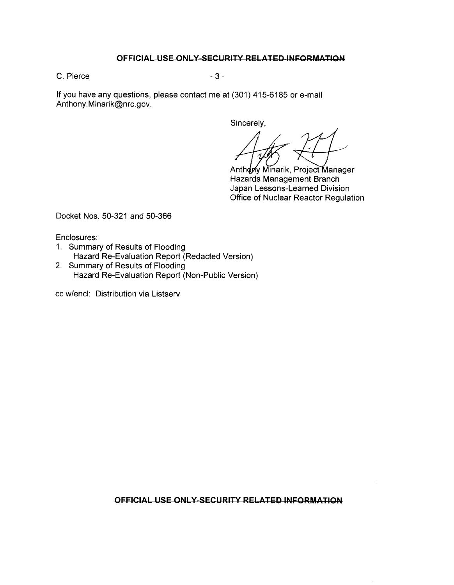C. Pierce - 3 - 3 -

If you have any questions, please contact me at (301) 415-6185 or e-mail Anthony.Minarik@nrc.gov.

Sincerely,

Anthoply Minarik, Project Manager Hazards Management Branch Japan Lessons-Learned Division Office of Nuclear Reactor Regulation

Docket Nos. 50-321 and 50-366

Enclosures:

- 1. Summary of Results of Flooding Hazard Re-Evaluation Report (Redacted Version)
- 2. Summary of Results of Flooding Hazard Re-Evaluation Report (Non-Public Version)

cc w/encl: Distribution via Listserv

**OFFICIAL USE ONLY SECURITY RELATED INFORMATION**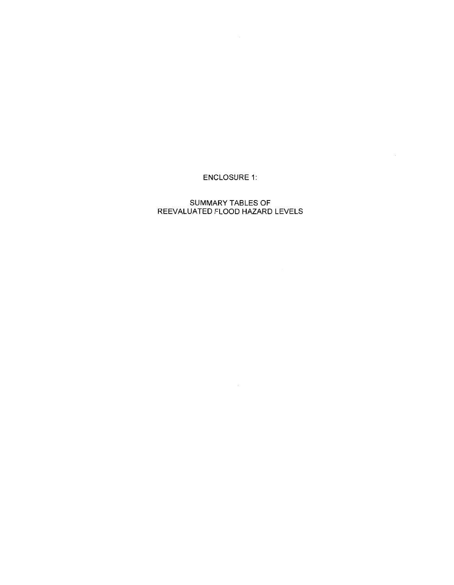# ENCLOSURE 1:

### SUMMARY TABLES OF REEVALUATED FLOOD HAZARD LEVELS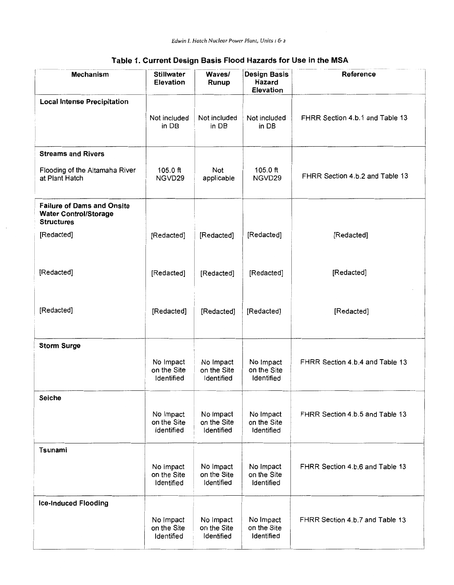| <b>Mechanism</b>                                                                       | <b>Stillwater</b><br><b>Elevation</b>  | Waves/<br>Runup                        | <b>Design Basis</b><br>Hazard<br><b>Elevation</b> | Reference                       |
|----------------------------------------------------------------------------------------|----------------------------------------|----------------------------------------|---------------------------------------------------|---------------------------------|
| <b>Local Intense Precipitation</b>                                                     |                                        |                                        |                                                   |                                 |
|                                                                                        | Not included<br>in DB                  | Not included<br>in DB                  | Not included<br>in DB                             | FHRR Section 4.b.1 and Table 13 |
| <b>Streams and Rivers</b>                                                              |                                        |                                        |                                                   |                                 |
| Flooding of the Altamaha River<br>at Plant Hatch                                       | $105.0$ ft<br>NGVD29                   | Not<br>applicable                      | 105.0 ft<br>NGVD29                                | FHRR Section 4.b.2 and Table 13 |
| <b>Failure of Dams and Onsite</b><br><b>Water Control/Storage</b><br><b>Structures</b> |                                        |                                        |                                                   |                                 |
| [Redacted]                                                                             | [Redacted]                             | [Redacted]                             | [Redacted]                                        | [Redacted]                      |
| [Redacted]                                                                             | [Redacted]                             | [Redacted]                             | [Redacted]                                        | [Redacted]                      |
| [Redacted]                                                                             | [Redacted]                             | [Redacted]                             | [Redacted]                                        | [Redacted]                      |
| <b>Storm Surge</b>                                                                     |                                        |                                        |                                                   |                                 |
|                                                                                        | No Impact<br>on the Site<br>Identified | No Impact<br>on the Site<br>Identified | No Impact<br>on the Site<br>Identified            | FHRR Section 4.b.4 and Table 13 |
| <b>Seiche</b>                                                                          |                                        |                                        |                                                   |                                 |
|                                                                                        | No Impact<br>on the Site<br>Identified | No Impact<br>on the Site<br>Identified | No Impact<br>on the Site<br>Identified            | FHRR Section 4.b.5 and Table 13 |
| Tsunami                                                                                |                                        |                                        |                                                   |                                 |
|                                                                                        | No impact<br>on the Site<br>Identified | No Impact<br>on the Site<br>Identified | No Impact<br>on the Site<br>Identified            | FHRR Section 4.b.6 and Table 13 |
| <b>Ice-Induced Flooding</b>                                                            |                                        |                                        |                                                   |                                 |
|                                                                                        | No Impact<br>on the Site<br>Identified | No Impact<br>on the Site<br>Identified | No Impact<br>on the Site<br>Identified            | FHRR Section 4.b.7 and Table 13 |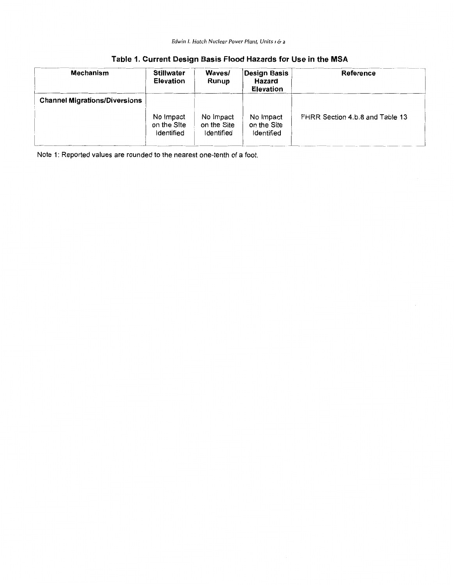| <b>Mechanism</b>                     | <b>Stillwater</b><br><b>Elevation</b>  | Waves/<br>Runup                        | Design Basis<br><b>Hazard</b><br><b>Elevation</b> | Reference                       |
|--------------------------------------|----------------------------------------|----------------------------------------|---------------------------------------------------|---------------------------------|
| <b>Channel Migrations/Diversions</b> |                                        |                                        |                                                   |                                 |
|                                      | No Impact<br>on the Site<br>Identified | No Impact<br>on the Site<br>Identified | No Impact<br>on the Site<br>Identified            | FHRR Section 4.b.8 and Table 13 |

Note 1: Reported values are rounded to the nearest one-tenth of a foot.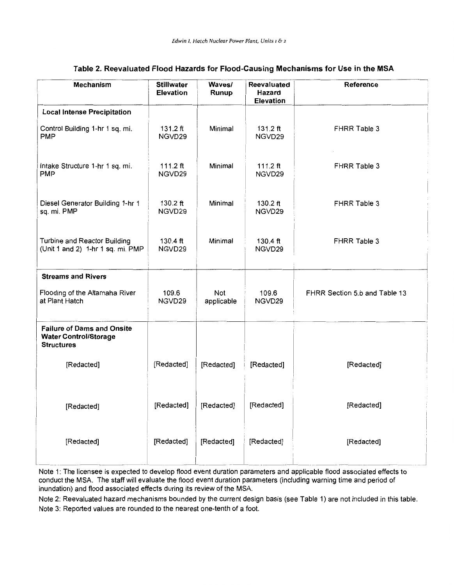| <b>Mechanism</b>                                                                       | <b>Stillwater</b><br><b>Elevation</b> | Waves/<br>Runup   | Reevaluated<br>Hazard<br><b>Elevation</b> | Reference                     |
|----------------------------------------------------------------------------------------|---------------------------------------|-------------------|-------------------------------------------|-------------------------------|
| <b>Local Intense Precipitation</b>                                                     |                                       |                   |                                           |                               |
| Control Building 1-hr 1 sq. mi.<br><b>PMP</b>                                          | 131.2 ft<br>NGVD29                    | Minimal           | $131.2$ ft<br>NGVD29                      | FHRR Table 3                  |
| Intake Structure 1-hr 1 sq. mi.<br><b>PMP</b>                                          | 111.2 $ft$<br>NGVD29                  | Minimal           | 111.2 $ft$<br>NGVD29                      | FHRR Table 3                  |
| Diesel Generator Building 1-hr 1<br>sq. mi. PMP                                        | 130.2 ft<br>NGVD29                    | Minimal           | 130.2 ft<br>NGVD29                        | FHRR Table 3                  |
| Turbine and Reactor Building<br>(Unit 1 and 2) 1-hr 1 sq. mi. PMP                      | 130.4 ft<br>NGVD29                    | Minimal           | 130.4 ft<br>NGVD29                        | FHRR Table 3                  |
| <b>Streams and Rivers</b>                                                              |                                       |                   |                                           |                               |
| Flooding of the Altamaha River<br>at Plant Hatch                                       | 109.6<br>NGVD29                       | Not<br>applicable | 109.6<br>NGVD29                           | FHRR Section 5.b and Table 13 |
| <b>Failure of Dams and Onsite</b><br><b>Water Control/Storage</b><br><b>Structures</b> |                                       |                   |                                           |                               |
| [Redacted]                                                                             | [Redacted]                            | [Redacted]        | [Redacted]                                | [Redacted]                    |
| [Redacted]                                                                             | [Redacted]                            | [Redacted]        | [Redacted]                                | [Redacted]                    |
| [Redacted]                                                                             | [Redacted]                            | [Redacted]        | [Redacted]                                | [Redacted]                    |

## **Table 2. Reevaluated Flood Hazards for Flood-Causing Mechanisms for Use in the MSA**

Note 1: The licensee is expected to develop flood event duration parameters and applicable flood associated effects to conduct the MSA. The staff will evaluate the flood event duration parameters (including warning time and period of inundation) and flood associated effects during its review of the MSA.

Note 2: Reevaluated hazard mechanisms bounded by the current design basis (see Table 1) are not included in this table. Note 3: Reported values are rounded to the nearest one-tenth of a foot.